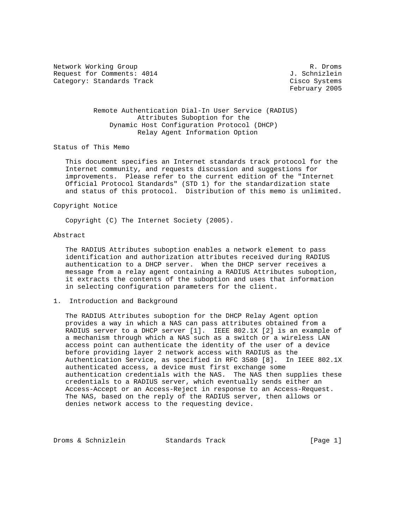Network Working Group and the set of the set of the set of the set of the set of the set of the set of the set of the set of the set of the set of the set of the set of the set of the set of the set of the set of the set o Request for Comments: 4014 J. Schnizlein Category: Standards Track Cisco Systems

February 2005

 Remote Authentication Dial-In User Service (RADIUS) Attributes Suboption for the Dynamic Host Configuration Protocol (DHCP) Relay Agent Information Option

Status of This Memo

 This document specifies an Internet standards track protocol for the Internet community, and requests discussion and suggestions for improvements. Please refer to the current edition of the "Internet Official Protocol Standards" (STD 1) for the standardization state and status of this protocol. Distribution of this memo is unlimited.

# Copyright Notice

Copyright (C) The Internet Society (2005).

#### Abstract

 The RADIUS Attributes suboption enables a network element to pass identification and authorization attributes received during RADIUS authentication to a DHCP server. When the DHCP server receives a message from a relay agent containing a RADIUS Attributes suboption, it extracts the contents of the suboption and uses that information in selecting configuration parameters for the client.

1. Introduction and Background

 The RADIUS Attributes suboption for the DHCP Relay Agent option provides a way in which a NAS can pass attributes obtained from a RADIUS server to a DHCP server [1]. IEEE 802.1X [2] is an example of a mechanism through which a NAS such as a switch or a wireless LAN access point can authenticate the identity of the user of a device before providing layer 2 network access with RADIUS as the Authentication Service, as specified in RFC 3580 [8]. In IEEE 802.1X authenticated access, a device must first exchange some authentication credentials with the NAS. The NAS then supplies these credentials to a RADIUS server, which eventually sends either an Access-Accept or an Access-Reject in response to an Access-Request. The NAS, based on the reply of the RADIUS server, then allows or denies network access to the requesting device.

Droms & Schnizlein Standards Track [Page 1]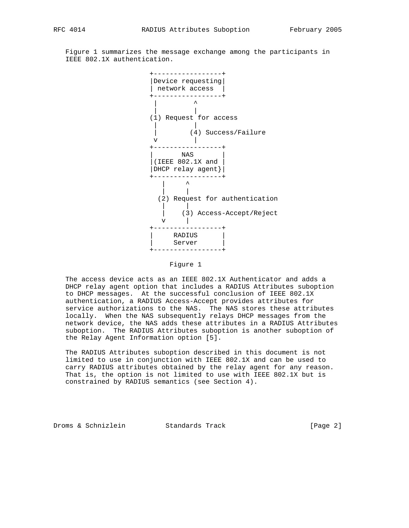Figure 1 summarizes the message exchange among the participants in IEEE 802.1X authentication.



#### Figure 1

 The access device acts as an IEEE 802.1X Authenticator and adds a DHCP relay agent option that includes a RADIUS Attributes suboption to DHCP messages. At the successful conclusion of IEEE 802.1X authentication, a RADIUS Access-Accept provides attributes for service authorizations to the NAS. The NAS stores these attributes locally. When the NAS subsequently relays DHCP messages from the network device, the NAS adds these attributes in a RADIUS Attributes suboption. The RADIUS Attributes suboption is another suboption of the Relay Agent Information option [5].

 The RADIUS Attributes suboption described in this document is not limited to use in conjunction with IEEE 802.1X and can be used to carry RADIUS attributes obtained by the relay agent for any reason. That is, the option is not limited to use with IEEE 802.1X but is constrained by RADIUS semantics (see Section 4).

Droms & Schnizlein Standards Track [Page 2]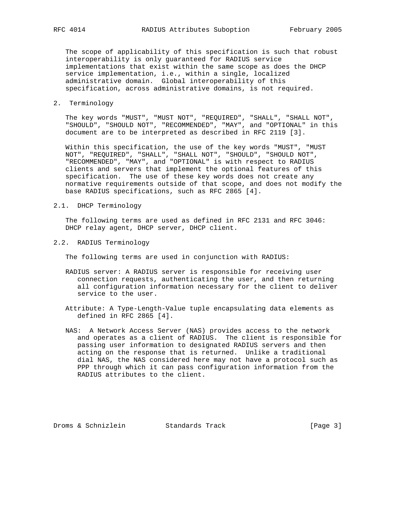The scope of applicability of this specification is such that robust interoperability is only guaranteed for RADIUS service implementations that exist within the same scope as does the DHCP service implementation, i.e., within a single, localized administrative domain. Global interoperability of this specification, across administrative domains, is not required.

# 2. Terminology

 The key words "MUST", "MUST NOT", "REQUIRED", "SHALL", "SHALL NOT", "SHOULD", "SHOULD NOT", "RECOMMENDED", "MAY", and "OPTIONAL" in this document are to be interpreted as described in RFC 2119 [3].

 Within this specification, the use of the key words "MUST", "MUST NOT", "REQUIRED", "SHALL", "SHALL NOT", "SHOULD", "SHOULD NOT", "RECOMMENDED", "MAY", and "OPTIONAL" is with respect to RADIUS clients and servers that implement the optional features of this specification. The use of these key words does not create any normative requirements outside of that scope, and does not modify the base RADIUS specifications, such as RFC 2865 [4].

# 2.1. DHCP Terminology

 The following terms are used as defined in RFC 2131 and RFC 3046: DHCP relay agent, DHCP server, DHCP client.

2.2. RADIUS Terminology

The following terms are used in conjunction with RADIUS:

- RADIUS server: A RADIUS server is responsible for receiving user connection requests, authenticating the user, and then returning all configuration information necessary for the client to deliver service to the user.
- Attribute: A Type-Length-Value tuple encapsulating data elements as defined in RFC 2865 [4].
- NAS: A Network Access Server (NAS) provides access to the network and operates as a client of RADIUS. The client is responsible for passing user information to designated RADIUS servers and then acting on the response that is returned. Unlike a traditional dial NAS, the NAS considered here may not have a protocol such as PPP through which it can pass configuration information from the RADIUS attributes to the client.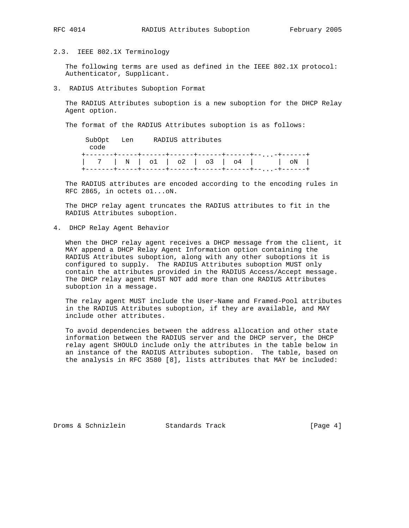2.3. IEEE 802.1X Terminology

 The following terms are used as defined in the IEEE 802.1X protocol: Authenticator, Supplicant.

3. RADIUS Attributes Suboption Format

 The RADIUS Attributes suboption is a new suboption for the DHCP Relay Agent option.

The format of the RADIUS Attributes suboption is as follows:

 SubOpt Len RADIUS attributes code +-------+-----+------+------+------+------+--...-+------+ | 7 | N | o1 | o2 | o3 | o4 | | oN | +-------+-----+------+------+------+------+--...-+------+

 The RADIUS attributes are encoded according to the encoding rules in RFC 2865, in octets o1...oN.

 The DHCP relay agent truncates the RADIUS attributes to fit in the RADIUS Attributes suboption.

4. DHCP Relay Agent Behavior

 When the DHCP relay agent receives a DHCP message from the client, it MAY append a DHCP Relay Agent Information option containing the RADIUS Attributes suboption, along with any other suboptions it is configured to supply. The RADIUS Attributes suboption MUST only contain the attributes provided in the RADIUS Access/Accept message. The DHCP relay agent MUST NOT add more than one RADIUS Attributes suboption in a message.

 The relay agent MUST include the User-Name and Framed-Pool attributes in the RADIUS Attributes suboption, if they are available, and MAY include other attributes.

 To avoid dependencies between the address allocation and other state information between the RADIUS server and the DHCP server, the DHCP relay agent SHOULD include only the attributes in the table below in an instance of the RADIUS Attributes suboption. The table, based on the analysis in RFC 3580 [8], lists attributes that MAY be included:

Droms & Schnizlein Standards Track [Page 4]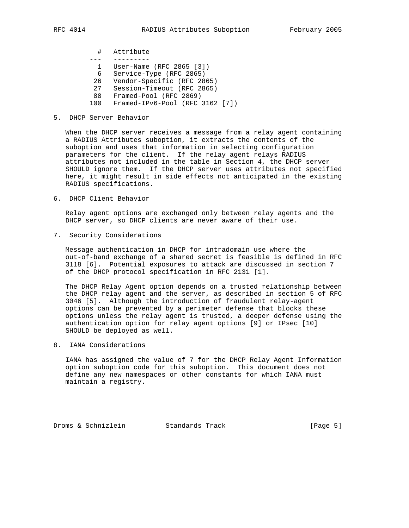- # Attribute
- --- ---------
- 1 User-Name (RFC 2865 [3])
- 6 Service-Type (RFC 2865)
- 26 Vendor-Specific (RFC 2865)
- 27 Session-Timeout (RFC 2865)
- 88 Framed-Pool (RFC 2869)
- 100 Framed-IPv6-Pool (RFC 3162 [7])

# 5. DHCP Server Behavior

 When the DHCP server receives a message from a relay agent containing a RADIUS Attributes suboption, it extracts the contents of the suboption and uses that information in selecting configuration parameters for the client. If the relay agent relays RADIUS attributes not included in the table in Section 4, the DHCP server SHOULD ignore them. If the DHCP server uses attributes not specified here, it might result in side effects not anticipated in the existing RADIUS specifications.

6. DHCP Client Behavior

 Relay agent options are exchanged only between relay agents and the DHCP server, so DHCP clients are never aware of their use.

7. Security Considerations

 Message authentication in DHCP for intradomain use where the out-of-band exchange of a shared secret is feasible is defined in RFC 3118 [6]. Potential exposures to attack are discussed in section 7 of the DHCP protocol specification in RFC 2131 [1].

 The DHCP Relay Agent option depends on a trusted relationship between the DHCP relay agent and the server, as described in section 5 of RFC 3046 [5]. Although the introduction of fraudulent relay-agent options can be prevented by a perimeter defense that blocks these options unless the relay agent is trusted, a deeper defense using the authentication option for relay agent options [9] or IPsec [10] SHOULD be deployed as well.

8. IANA Considerations

 IANA has assigned the value of 7 for the DHCP Relay Agent Information option suboption code for this suboption. This document does not define any new namespaces or other constants for which IANA must maintain a registry.

Droms & Schnizlein Standards Track [Page 5]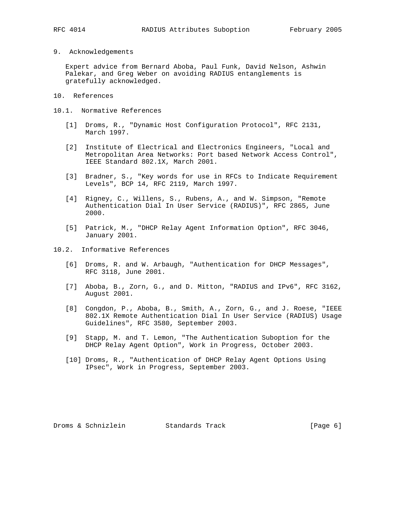9. Acknowledgements

 Expert advice from Bernard Aboba, Paul Funk, David Nelson, Ashwin Palekar, and Greg Weber on avoiding RADIUS entanglements is gratefully acknowledged.

- 10. References
- 10.1. Normative References
	- [1] Droms, R., "Dynamic Host Configuration Protocol", RFC 2131, March 1997.
	- [2] Institute of Electrical and Electronics Engineers, "Local and Metropolitan Area Networks: Port based Network Access Control", IEEE Standard 802.1X, March 2001.
	- [3] Bradner, S., "Key words for use in RFCs to Indicate Requirement Levels", BCP 14, RFC 2119, March 1997.
	- [4] Rigney, C., Willens, S., Rubens, A., and W. Simpson, "Remote Authentication Dial In User Service (RADIUS)", RFC 2865, June 2000.
	- [5] Patrick, M., "DHCP Relay Agent Information Option", RFC 3046, January 2001.
- 10.2. Informative References
	- [6] Droms, R. and W. Arbaugh, "Authentication for DHCP Messages", RFC 3118, June 2001.
	- [7] Aboba, B., Zorn, G., and D. Mitton, "RADIUS and IPv6", RFC 3162, August 2001.
	- [8] Congdon, P., Aboba, B., Smith, A., Zorn, G., and J. Roese, "IEEE 802.1X Remote Authentication Dial In User Service (RADIUS) Usage Guidelines", RFC 3580, September 2003.
	- [9] Stapp, M. and T. Lemon, "The Authentication Suboption for the DHCP Relay Agent Option", Work in Progress, October 2003.
	- [10] Droms, R., "Authentication of DHCP Relay Agent Options Using IPsec", Work in Progress, September 2003.

Droms & Schnizlein Standards Track [Page 6]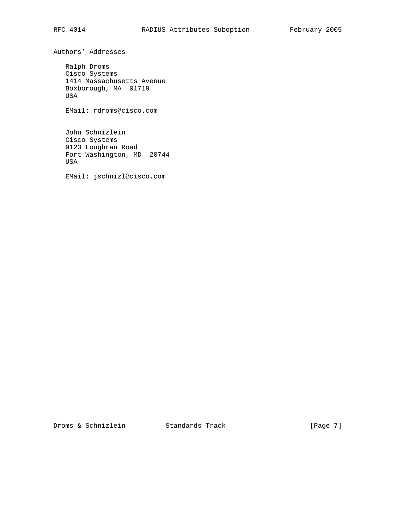Authors' Addresses

 Ralph Droms Cisco Systems 1414 Massachusetts Avenue Boxborough, MA 01719 USA

EMail: rdroms@cisco.com

 John Schnizlein Cisco Systems 9123 Loughran Road Fort Washington, MD 20744 USA

EMail: jschnizl@cisco.com